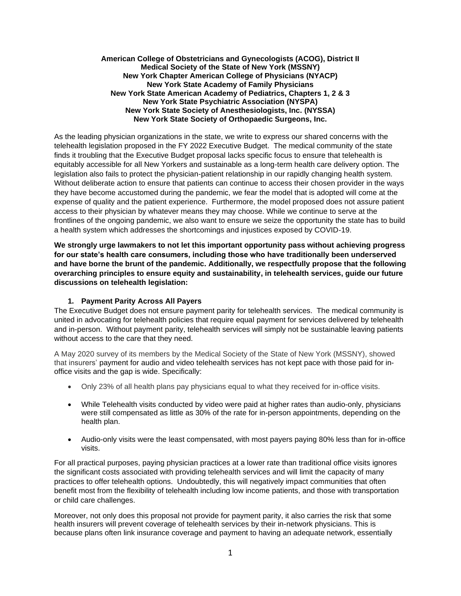#### **American College of Obstetricians and Gynecologists (ACOG), District II Medical Society of the State of New York (MSSNY) New York Chapter American College of Physicians (NYACP) New York State Academy of Family Physicians New York State American Academy of Pediatrics, Chapters 1, 2 & 3 New York State Psychiatric Association (NYSPA) New York State Society of Anesthesiologists, Inc. (NYSSA) New York State Society of Orthopaedic Surgeons, Inc.**

As the leading physician organizations in the state, we write to express our shared concerns with the telehealth legislation proposed in the FY 2022 Executive Budget. The medical community of the state finds it troubling that the Executive Budget proposal lacks specific focus to ensure that telehealth is equitably accessible for all New Yorkers and sustainable as a long-term health care delivery option. The legislation also fails to protect the physician-patient relationship in our rapidly changing health system. Without deliberate action to ensure that patients can continue to access their chosen provider in the ways they have become accustomed during the pandemic, we fear the model that is adopted will come at the expense of quality and the patient experience. Furthermore, the model proposed does not assure patient access to their physician by whatever means they may choose. While we continue to serve at the frontlines of the ongoing pandemic, we also want to ensure we seize the opportunity the state has to build a health system which addresses the shortcomings and injustices exposed by COVID-19.

**We strongly urge lawmakers to not let this important opportunity pass without achieving progress for our state's health care consumers, including those who have traditionally been underserved and have borne the brunt of the pandemic. Additionally, we respectfully propose that the following overarching principles to ensure equity and sustainability, in telehealth services, guide our future discussions on telehealth legislation:**

#### **1. Payment Parity Across All Payers**

The Executive Budget does not ensure payment parity for telehealth services. The medical community is united in advocating for telehealth policies that require equal payment for services delivered by telehealth and in-person. Without payment parity, telehealth services will simply not be sustainable leaving patients without access to the care that they need.

A May 2020 survey of its members by the Medical Society of the State of New York (MSSNY), showed that insurers' payment for audio and video telehealth services has not kept pace with those paid for inoffice visits and the gap is wide. Specifically:

- Only 23% of all health plans pay physicians equal to what they received for in-office visits.
- While Telehealth visits conducted by video were paid at higher rates than audio-only, physicians were still compensated as little as 30% of the rate for in-person appointments, depending on the health plan.
- Audio-only visits were the least compensated, with most payers paying 80% less than for in-office visits.

For all practical purposes, paying physician practices at a lower rate than traditional office visits ignores the significant costs associated with providing telehealth services and will limit the capacity of many practices to offer telehealth options. Undoubtedly, this will negatively impact communities that often benefit most from the flexibility of telehealth including low income patients, and those with transportation or child care challenges.

Moreover, not only does this proposal not provide for payment parity, it also carries the risk that some health insurers will prevent coverage of telehealth services by their in-network physicians. This is because plans often link insurance coverage and payment to having an adequate network, essentially